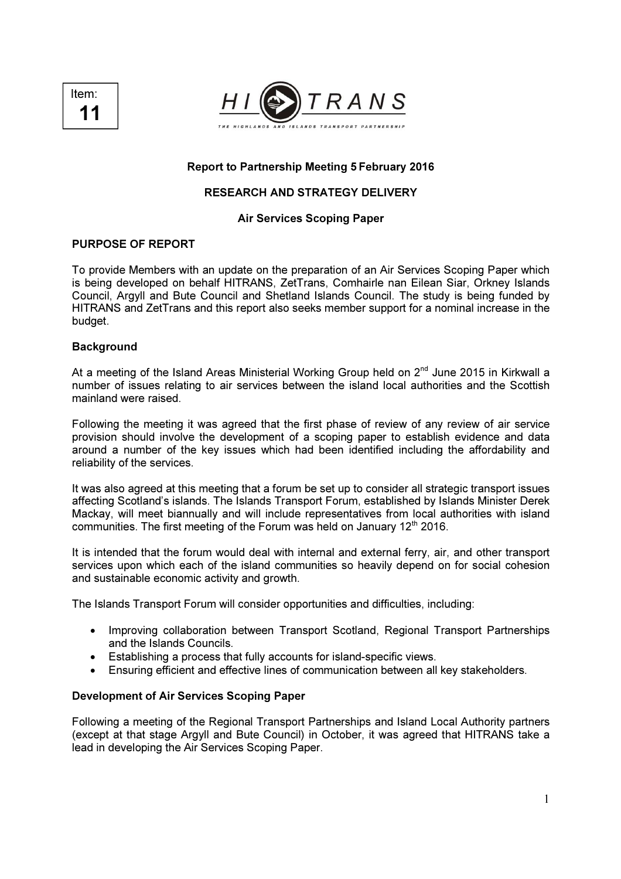



# Report to Partnership Meeting 5 February 2016

# RESEARCH AND STRATEGY DELIVERY

### Air Services Scoping Paper

## PURPOSE OF REPORT

To provide Members with an update on the preparation of an Air Services Scoping Paper which is being developed on behalf HITRANS, ZetTrans, Comhairle nan Eilean Siar, Orkney Islands Council, Argyll and Bute Council and Shetland Islands Council. The study is being funded by HITRANS and ZetTrans and this report also seeks member support for a nominal increase in the budget.

#### **Background**

At a meeting of the Island Areas Ministerial Working Group held on  $2<sup>nd</sup>$  June 2015 in Kirkwall a number of issues relating to air services between the island local authorities and the Scottish mainland were raised.

Following the meeting it was agreed that the first phase of review of any review of air service provision should involve the development of a scoping paper to establish evidence and data around a number of the key issues which had been identified including the affordability and reliability of the services.

It was also agreed at this meeting that a forum be set up to consider all strategic transport issues affecting Scotland's islands. The Islands Transport Forum, established by Islands Minister Derek Mackay, will meet biannually and will include representatives from local authorities with island communities. The first meeting of the Forum was held on January  $12<sup>th</sup>$  2016.

It is intended that the forum would deal with internal and external ferry, air, and other transport services upon which each of the island communities so heavily depend on for social cohesion and sustainable economic activity and growth.

The Islands Transport Forum will consider opportunities and difficulties, including:

- Improving collaboration between Transport Scotland, Regional Transport Partnerships and the Islands Councils.
- Establishing a process that fully accounts for island-specific views.
- Ensuring efficient and effective lines of communication between all key stakeholders.

### Development of Air Services Scoping Paper

Following a meeting of the Regional Transport Partnerships and Island Local Authority partners (except at that stage Argyll and Bute Council) in October, it was agreed that HITRANS take a lead in developing the Air Services Scoping Paper.